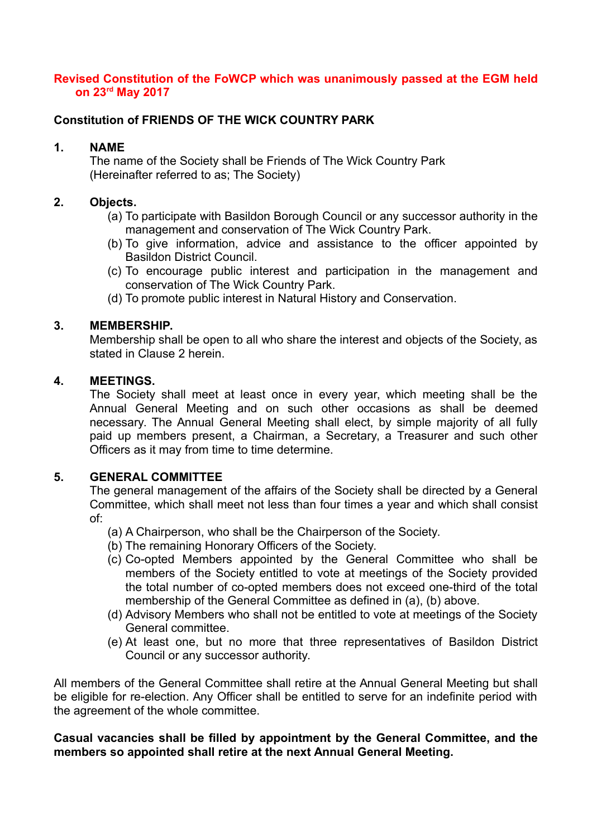### **Revised Constitution of the FoWCP which was unanimously passed at the EGM held on 23rd May 2017**

# **Constitution of FRIENDS OF THE WICK COUNTRY PARK**

## **1. NAME**

The name of the Society shall be Friends of The Wick Country Park (Hereinafter referred to as; The Society)

## **2. Objects.**

- (a) To participate with Basildon Borough Council or any successor authority in the management and conservation of The Wick Country Park.
- (b) To give information, advice and assistance to the officer appointed by Basildon District Council.
- (c) To encourage public interest and participation in the management and conservation of The Wick Country Park.
- (d) To promote public interest in Natural History and Conservation.

#### **3. MEMBERSHIP.**

Membership shall be open to all who share the interest and objects of the Society, as stated in Clause 2 herein.

#### **4. MEETINGS.**

The Society shall meet at least once in every year, which meeting shall be the Annual General Meeting and on such other occasions as shall be deemed necessary. The Annual General Meeting shall elect, by simple majority of all fully paid up members present, a Chairman, a Secretary, a Treasurer and such other Officers as it may from time to time determine.

#### **5. GENERAL COMMITTEE**

The general management of the affairs of the Society shall be directed by a General Committee, which shall meet not less than four times a year and which shall consist of:

- (a) A Chairperson, who shall be the Chairperson of the Society.
- (b) The remaining Honorary Officers of the Society.
- (c) Co-opted Members appointed by the General Committee who shall be members of the Society entitled to vote at meetings of the Society provided the total number of co-opted members does not exceed one-third of the total membership of the General Committee as defined in (a), (b) above.
- (d) Advisory Members who shall not be entitled to vote at meetings of the Society General committee.
- (e) At least one, but no more that three representatives of Basildon District Council or any successor authority.

All members of the General Committee shall retire at the Annual General Meeting but shall be eligible for re-election. Any Officer shall be entitled to serve for an indefinite period with the agreement of the whole committee.

#### **Casual vacancies shall be filled by appointment by the General Committee, and the members so appointed shall retire at the next Annual General Meeting.**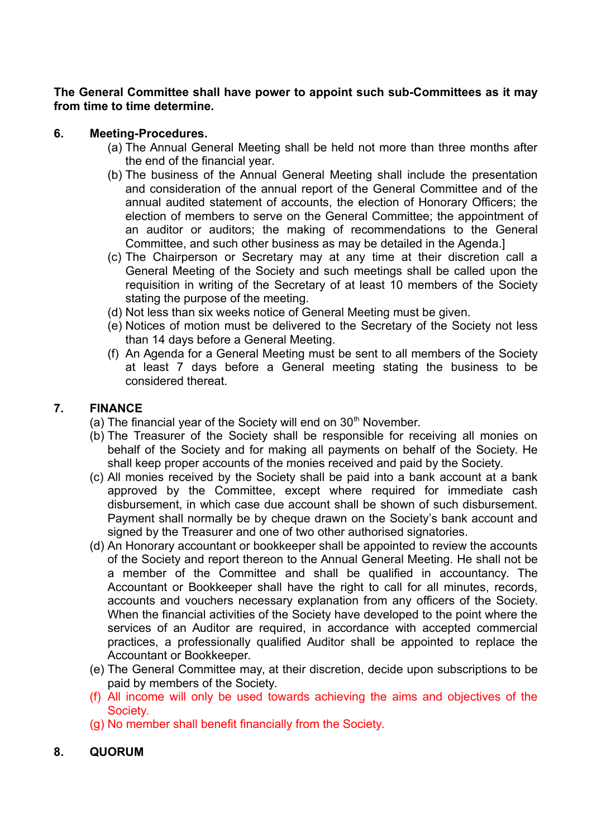**The General Committee shall have power to appoint such sub-Committees as it may from time to time determine.**

## **6. Meeting-Procedures.**

- (a) The Annual General Meeting shall be held not more than three months after the end of the financial year.
- (b) The business of the Annual General Meeting shall include the presentation and consideration of the annual report of the General Committee and of the annual audited statement of accounts, the election of Honorary Officers; the election of members to serve on the General Committee; the appointment of an auditor or auditors; the making of recommendations to the General Committee, and such other business as may be detailed in the Agenda.]
- (c) The Chairperson or Secretary may at any time at their discretion call a General Meeting of the Society and such meetings shall be called upon the requisition in writing of the Secretary of at least 10 members of the Society stating the purpose of the meeting.
- (d) Not less than six weeks notice of General Meeting must be given.
- (e) Notices of motion must be delivered to the Secretary of the Society not less than 14 days before a General Meeting.
- (f) An Agenda for a General Meeting must be sent to all members of the Society at least 7 days before a General meeting stating the business to be considered thereat.

## **7. FINANCE**

- (a) The financial year of the Society will end on  $30<sup>th</sup>$  November.
- (b) The Treasurer of the Society shall be responsible for receiving all monies on behalf of the Society and for making all payments on behalf of the Society. He shall keep proper accounts of the monies received and paid by the Society.
- (c) All monies received by the Society shall be paid into a bank account at a bank approved by the Committee, except where required for immediate cash disbursement, in which case due account shall be shown of such disbursement. Payment shall normally be by cheque drawn on the Society's bank account and signed by the Treasurer and one of two other authorised signatories.
- (d) An Honorary accountant or bookkeeper shall be appointed to review the accounts of the Society and report thereon to the Annual General Meeting. He shall not be a member of the Committee and shall be qualified in accountancy. The Accountant or Bookkeeper shall have the right to call for all minutes, records, accounts and vouchers necessary explanation from any officers of the Society. When the financial activities of the Society have developed to the point where the services of an Auditor are required, in accordance with accepted commercial practices, a professionally qualified Auditor shall be appointed to replace the Accountant or Bookkeeper.
- (e) The General Committee may, at their discretion, decide upon subscriptions to be paid by members of the Society.
- (f) All income will only be used towards achieving the aims and objectives of the Society.
- (g) No member shall benefit financially from the Society.

#### **8. QUORUM**